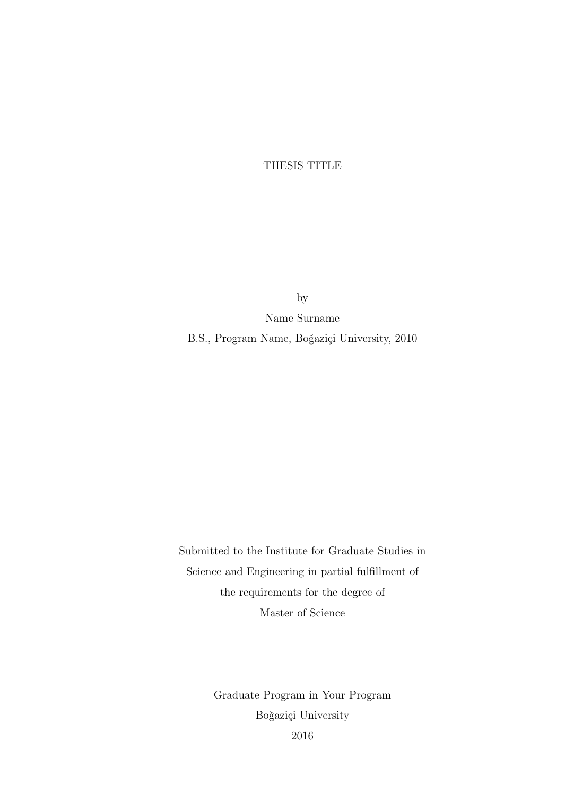THESIS TITLE

by

Name Surname

B.S., Program Name, Boğaziçi University, 2010

Submitted to the Institute for Graduate Studies in Science and Engineering in partial fulfillment of the requirements for the degree of Master of Science

> Graduate Program in Your Program Boğaziçi University 2016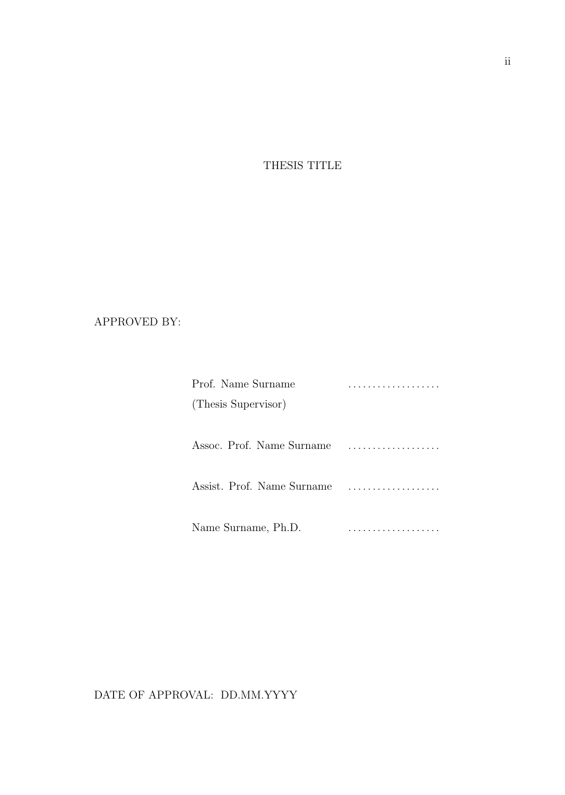THESIS TITLE

#### APPROVED BY:

| Prof. Name Surname         | . |
|----------------------------|---|
| (Thesis Supervisor)        |   |
|                            |   |
| Assoc. Prof. Name Surname  |   |
| Assist. Prof. Name Surname |   |
| Name Surname, Ph.D.        | . |

DATE OF APPROVAL: DD.MM.YYYY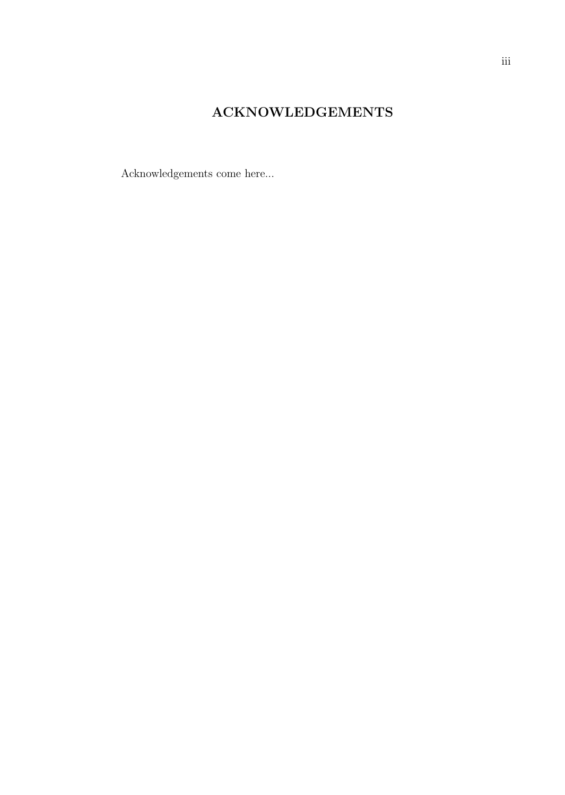#### ACKNOWLEDGEMENTS

Acknowledgements come here...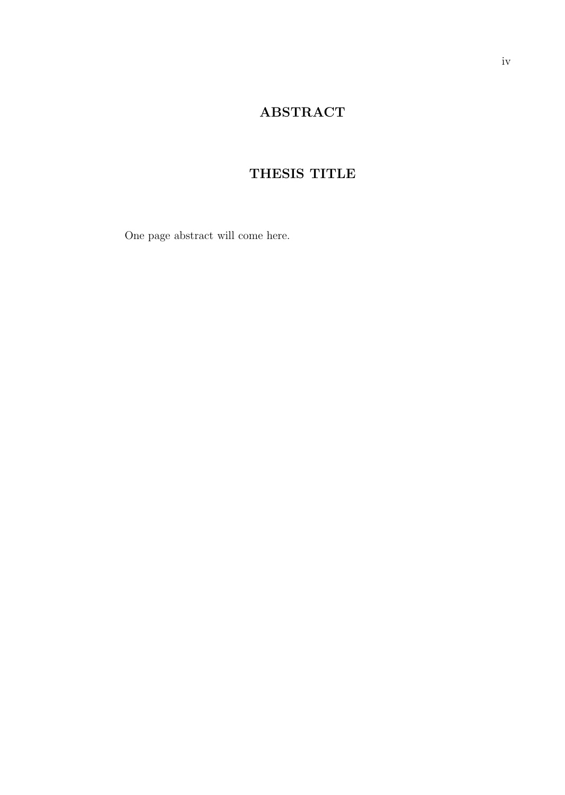#### ABSTRACT

### THESIS TITLE

One page abstract will come here.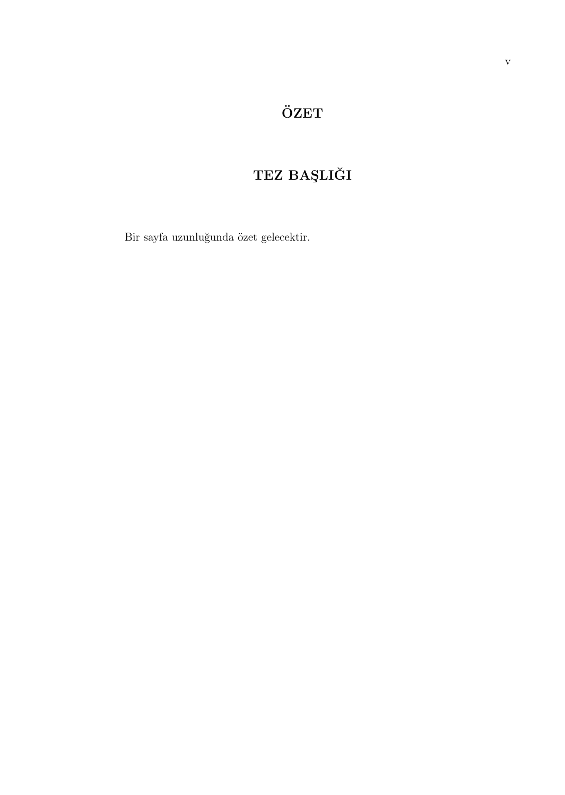# $\ddot{\text{O}}\text{ZET}$

# ${\bf TEZ}$ BAŞLIĞI

 $\rm Bir$ sayfa uzunluğunda özet gelecektir.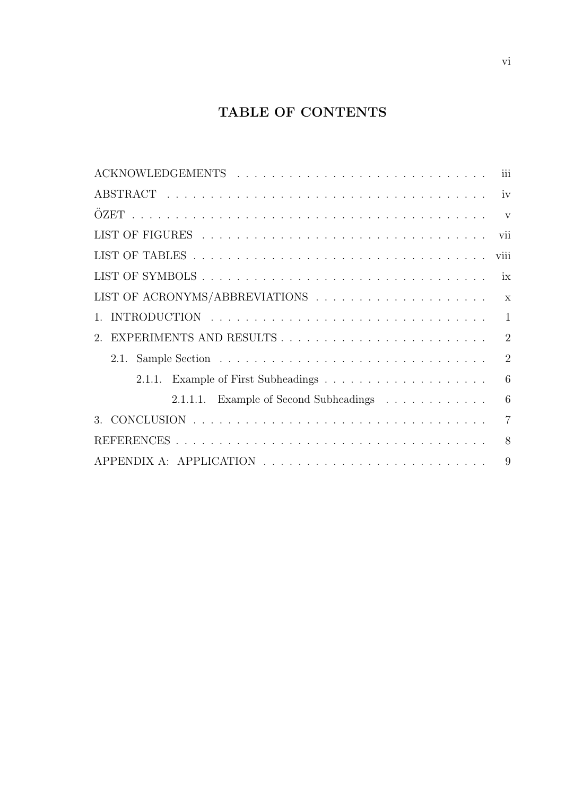#### TABLE OF CONTENTS

| iii                                         |
|---------------------------------------------|
|                                             |
| $\mathbf{V}$                                |
| vii                                         |
| viii                                        |
| ix                                          |
| $\mathbf{x}$                                |
| $\mathbf{1}$<br>$\mathbf{1}$                |
| $\overline{2}$<br>$\mathfrak{D}$            |
| $\overline{2}$                              |
| 6                                           |
| 6<br>2.1.1.1. Example of Second Subheadings |
| $\overline{7}$<br>$\mathcal{R}$             |
| 8                                           |
| 9                                           |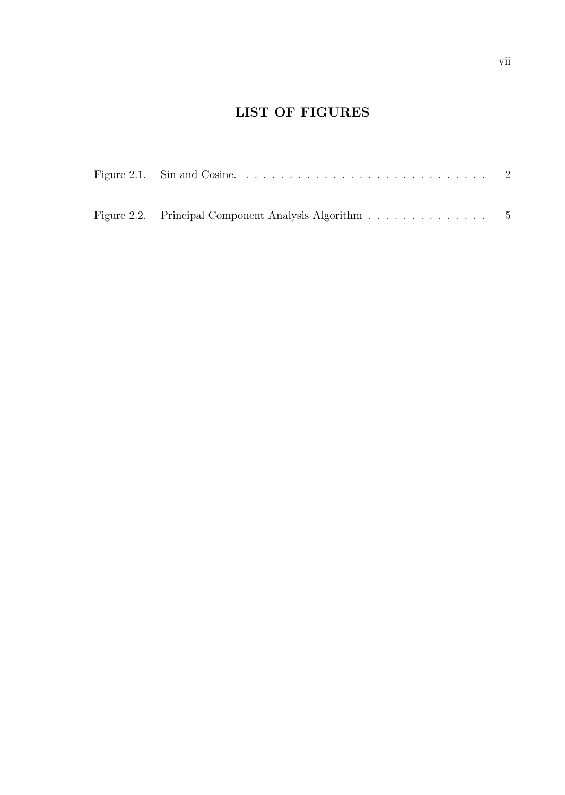#### LIST OF FIGURES

| Figure 2.2. Principal Component Analysis Algorithm 5 |  |
|------------------------------------------------------|--|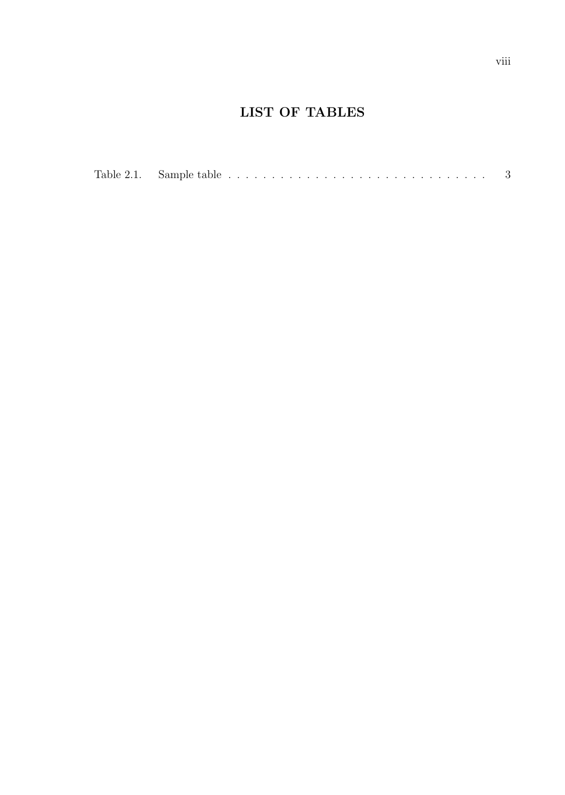#### LIST OF TABLES

| Table 2.1.<br>Sample table |  |  |
|----------------------------|--|--|
|----------------------------|--|--|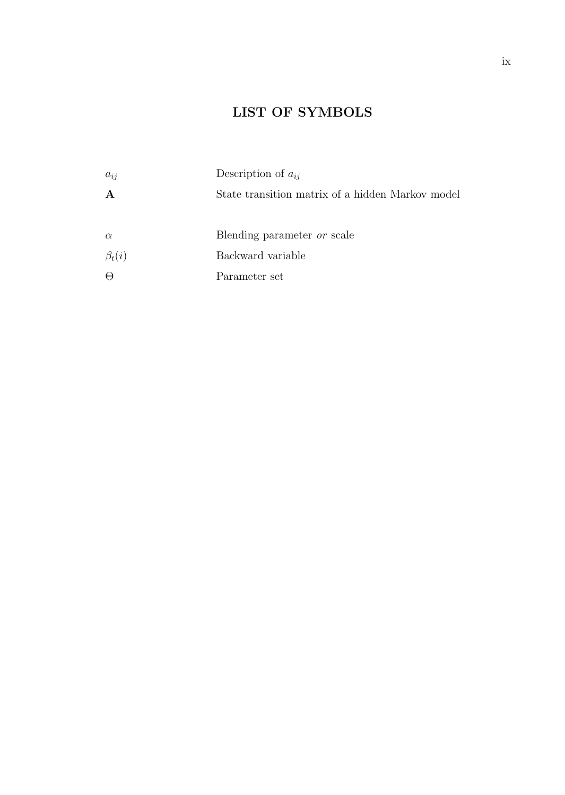### LIST OF SYMBOLS

| $a_{ij}$     | Description of $a_{ij}$                          |
|--------------|--------------------------------------------------|
| $\mathbf A$  | State transition matrix of a hidden Markov model |
|              |                                                  |
| $\alpha$     | Blending parameter <i>or</i> scale               |
| $\beta_t(i)$ | Backward variable                                |
| $\Theta$     | Parameter set                                    |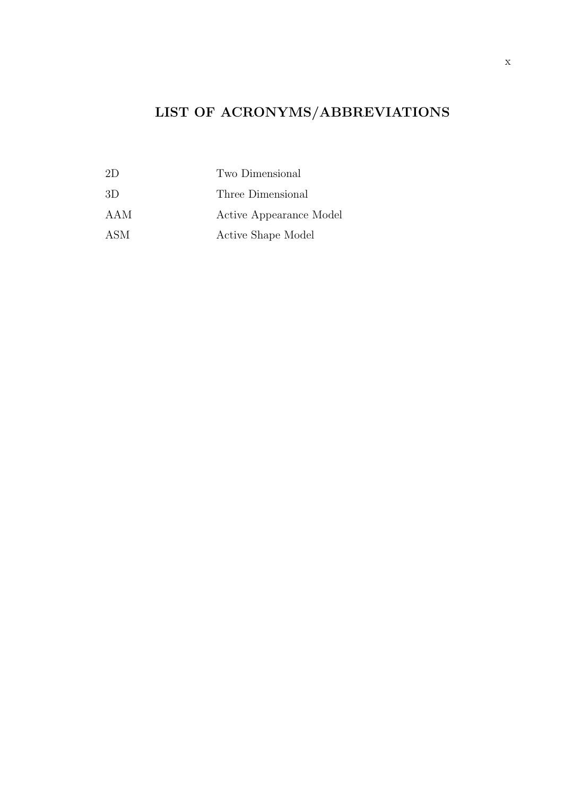# LIST OF ACRONYMS/ABBREVIATIONS

| 21) | Two Dimensional         |
|-----|-------------------------|
| -3D | Three Dimensional       |
| AAM | Active Appearance Model |
| ASM | Active Shape Model      |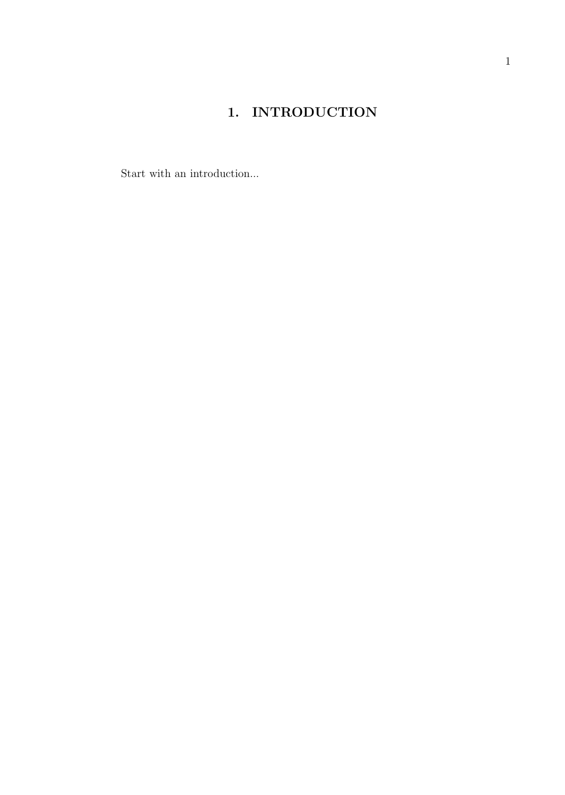## 1. INTRODUCTION

Start with an introduction...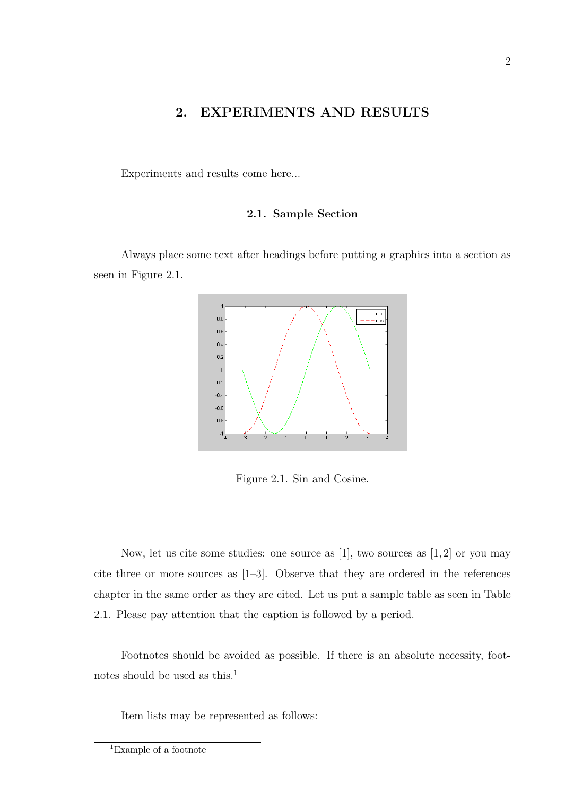#### 2. EXPERIMENTS AND RESULTS

Experiments and results come here...

#### 2.1. Sample Section

Always place some text after headings before putting a graphics into a section as seen in Figure 2.1.



Figure 2.1. Sin and Cosine.

Now, let us cite some studies: one source as [1], two sources as [1, 2] or you may cite three or more sources as [1–3]. Observe that they are ordered in the references chapter in the same order as they are cited. Let us put a sample table as seen in Table 2.1. Please pay attention that the caption is followed by a period.

Footnotes should be avoided as possible. If there is an absolute necessity, footnotes should be used as this.<sup>1</sup>

Item lists may be represented as follows:

<sup>1</sup>Example of a footnote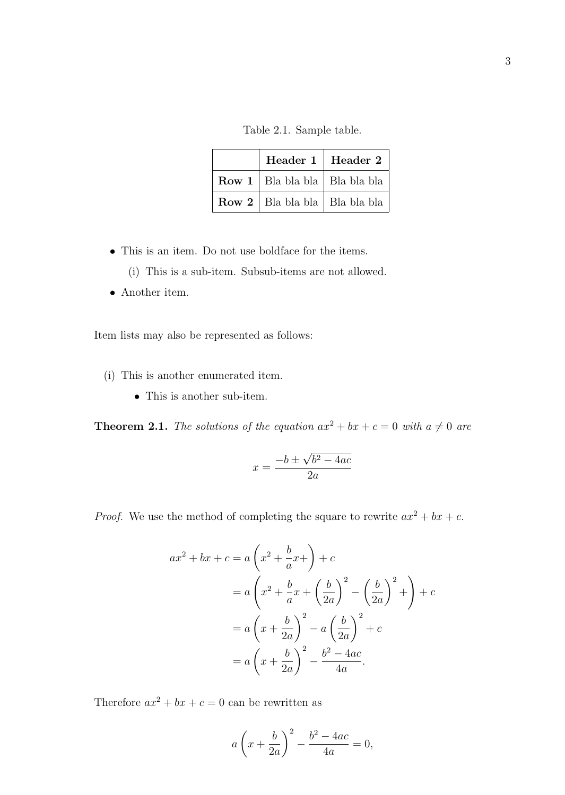Table 2.1. Sample table.

| Header 1   Header 2                      |  |
|------------------------------------------|--|
| <b>Row 1</b>   Bla bla bla   Bla bla bla |  |
| <b>Row 2</b>   Bla bla bla   Bla bla bla |  |

- This is an item. Do not use boldface for the items.
	- (i) This is a sub-item. Subsub-items are not allowed.
- Another item.

Item lists may also be represented as follows:

- (i) This is another enumerated item.
	- This is another sub-item.

**Theorem 2.1.** The solutions of the equation  $ax^{2} + bx + c = 0$  with  $a \neq 0$  are

$$
x = \frac{-b \pm \sqrt{b^2 - 4ac}}{2a}
$$

*Proof.* We use the method of completing the square to rewrite  $ax^2 + bx + c$ .

$$
ax^{2} + bx + c = a\left(x^{2} + \frac{b}{a}x + \right) + c
$$
  
=  $a\left(x^{2} + \frac{b}{a}x + \left(\frac{b}{2a}\right)^{2} - \left(\frac{b}{2a}\right)^{2} + \right) + c$   
=  $a\left(x + \frac{b}{2a}\right)^{2} - a\left(\frac{b}{2a}\right)^{2} + c$   
=  $a\left(x + \frac{b}{2a}\right)^{2} - \frac{b^{2} - 4ac}{4a}.$ 

Therefore  $ax^2 + bx + c = 0$  can be rewritten as

$$
a\left(x+\frac{b}{2a}\right)^2 - \frac{b^2-4ac}{4a} = 0,
$$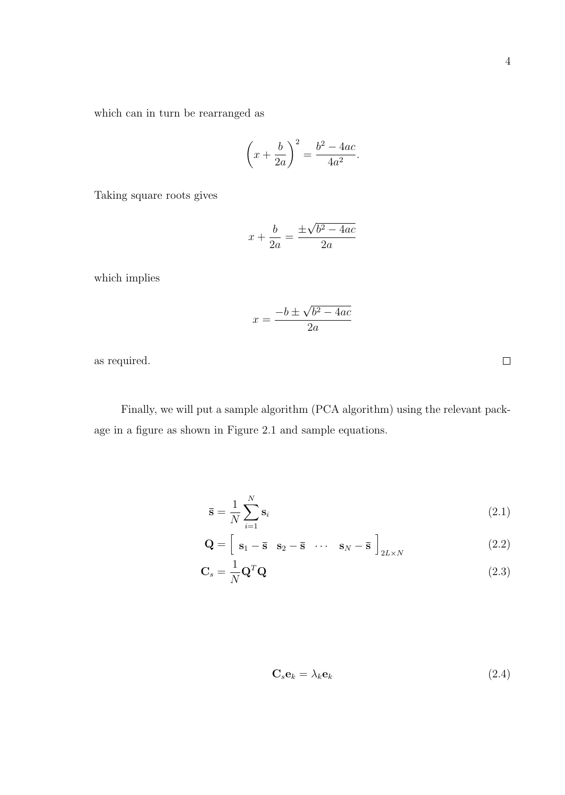which can in turn be rearranged as

$$
\left(x + \frac{b}{2a}\right)^2 = \frac{b^2 - 4ac}{4a^2}.
$$

Taking square roots gives

$$
x + \frac{b}{2a} = \frac{\pm\sqrt{b^2 - 4ac}}{2a}
$$

which implies

$$
x = \frac{-b \pm \sqrt{b^2 - 4ac}}{2a}
$$

as required.

Finally, we will put a sample algorithm (PCA algorithm) using the relevant package in a figure as shown in Figure 2.1 and sample equations.

$$
\overline{\mathbf{s}} = \frac{1}{N} \sum_{i=1}^{N} \mathbf{s}_i \tag{2.1}
$$

$$
\mathbf{Q} = \begin{bmatrix} \mathbf{s}_1 - \overline{\mathbf{s}} & \mathbf{s}_2 - \overline{\mathbf{s}} & \cdots & \mathbf{s}_N - \overline{\mathbf{s}} \end{bmatrix}_{2L \times N}
$$
 (2.2)

$$
\mathbf{C}_s = \frac{1}{N} \mathbf{Q}^T \mathbf{Q} \tag{2.3}
$$

$$
\mathbf{C}_s \mathbf{e}_k = \lambda_k \mathbf{e}_k \tag{2.4}
$$

 $\Box$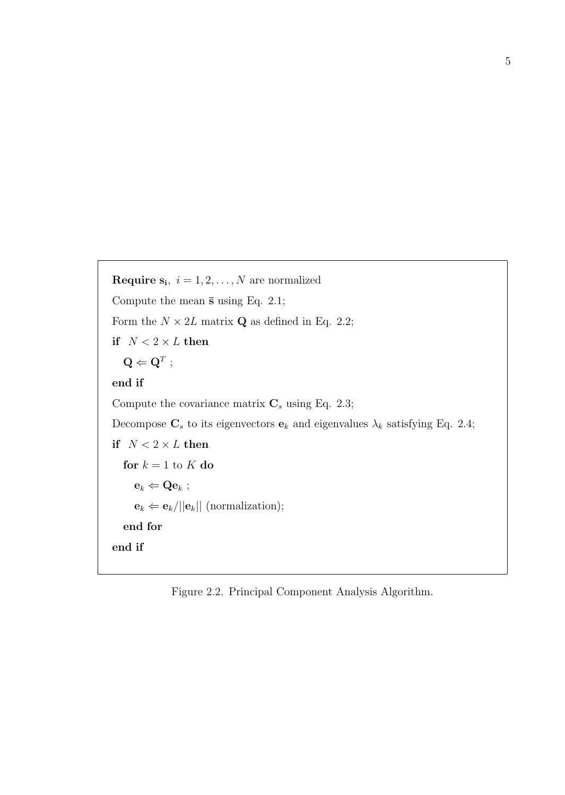**Require s**<sub>i</sub>,  $i = 1, 2, ..., N$  are normalized Compute the mean  $\bar{s}$  using Eq. 2.1; Form the  $N \times 2L$  matrix **Q** as defined in Eq. 2.2; if  $N < 2 \times L$  then  $\mathbf{Q} \Leftarrow \mathbf{Q}^T$  ; end if Compute the covariance matrix  $C_s$  using Eq. 2.3; Decompose  $\mathbf{C}_s$  to its eigenvectors  $\mathbf{e}_k$  and eigenvalues  $\lambda_k$  satisfying Eq. 2.4; if  $N < 2 \times L$  then for  $k = 1$  to  $K$  do  $e_k \Leftarrow Qe_k$ ;  $\mathbf{e}_k \leftarrow \mathbf{e}_k / ||\mathbf{e}_k||$  (normalization); end for end if

Figure 2.2. Principal Component Analysis Algorithm.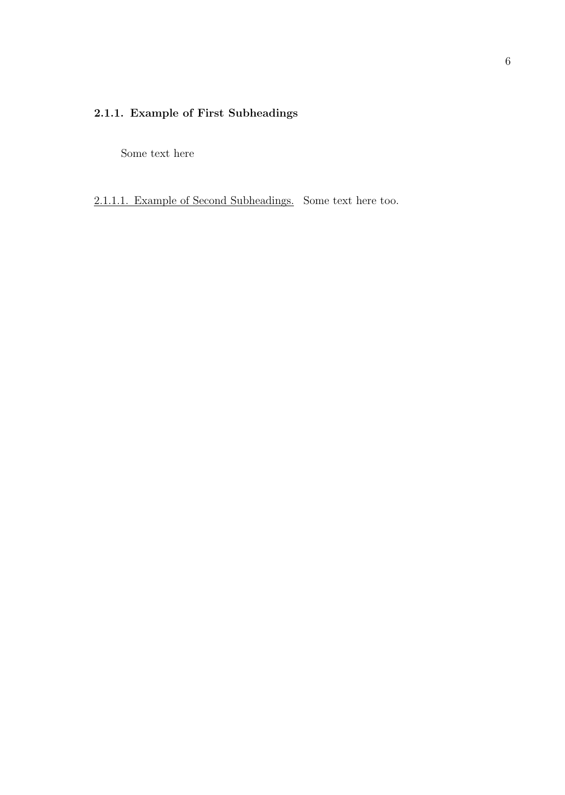#### 2.1.1. Example of First Subheadings

Some text here

2.1.1.1. Example of Second Subheadings. Some text here too.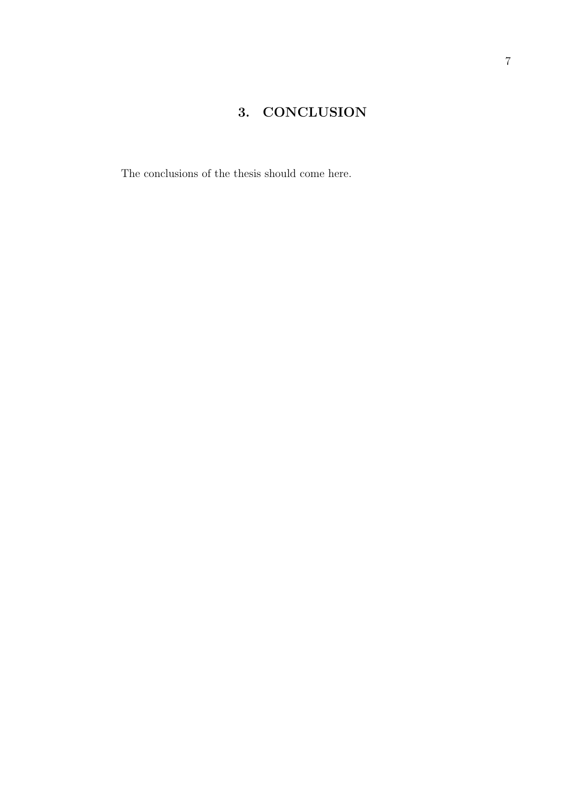### 3. CONCLUSION

The conclusions of the thesis should come here.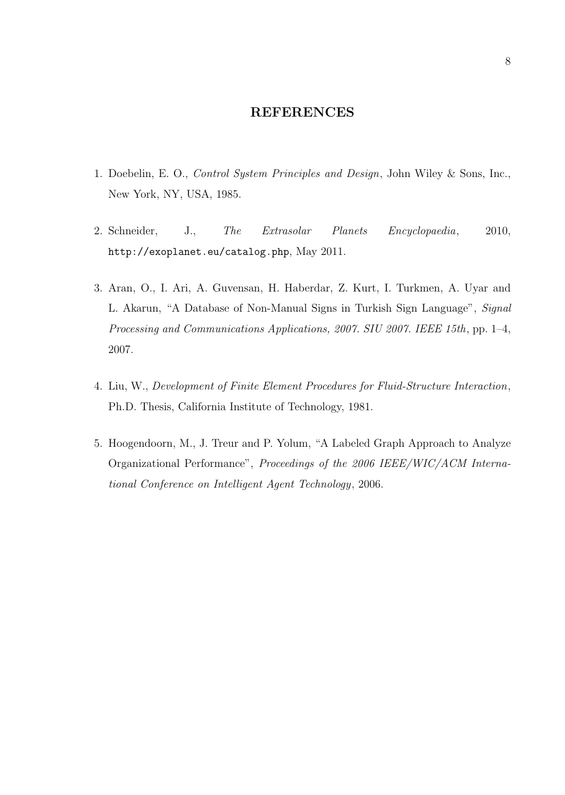#### REFERENCES

- 1. Doebelin, E. O., Control System Principles and Design, John Wiley & Sons, Inc., New York, NY, USA, 1985.
- 2. Schneider, J., The Extrasolar Planets Encyclopaedia, 2010, http://exoplanet.eu/catalog.php, May 2011.
- 3. Aran, O., I. Ari, A. Guvensan, H. Haberdar, Z. Kurt, I. Turkmen, A. Uyar and L. Akarun, "A Database of Non-Manual Signs in Turkish Sign Language", Signal Processing and Communications Applications, 2007. SIU 2007. IEEE 15th, pp. 1–4, 2007.
- 4. Liu, W., Development of Finite Element Procedures for Fluid-Structure Interaction, Ph.D. Thesis, California Institute of Technology, 1981.
- 5. Hoogendoorn, M., J. Treur and P. Yolum, "A Labeled Graph Approach to Analyze Organizational Performance", Proceedings of the 2006 IEEE/WIC/ACM International Conference on Intelligent Agent Technology, 2006.